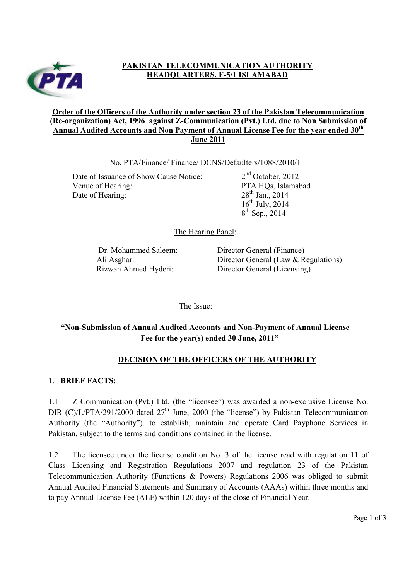

# **PAKISTAN TELECOMMUNICATION AUTHORITY HEADQUARTERS, F-5/1 ISLAMABAD**

#### **Order of the Officers of the Authority under section 23 of the Pakistan Telecommunication (Re-organization) Act, 1996 against Z-Communication (Pvt.) Ltd. due to Non Submission of Annual Audited Accounts and Non Payment of Annual License Fee for the year ended 30th June 2011**

No. PTA/Finance/ Finance/ DCNS/Defaulters/1088/2010/1

Date of Issuance of Show Cause Notice:  $2<sup>nd</sup> October, 2012$ Venue of Hearing: PTA HQs, Islamabad Date of Hearing: 28<sup>th</sup> Jan., 2014

 $16^{th}$  July, 2014  $8^{th}$  Sep., 2014

The Hearing Panel:

Dr. Mohammed Saleem: Director General (Finance) Ali Asghar: Director General (Law & Regulations) Rizwan Ahmed Hyderi: Director General (Licensing)

The Issue:

# **"Non-Submission of Annual Audited Accounts and Non-Payment of Annual License Fee for the year(s) ended 30 June, 2011"**

### **DECISION OF THE OFFICERS OF THE AUTHORITY**

### 1. **BRIEF FACTS:**

1.1 Z Communication (Pvt.) Ltd. (the "licensee") was awarded a non-exclusive License No. DIR (C)/L/PTA/291/2000 dated  $27<sup>th</sup>$  June, 2000 (the "license") by Pakistan Telecommunication Authority (the "Authority"), to establish, maintain and operate Card Payphone Services in Pakistan, subject to the terms and conditions contained in the license.

1.2 The licensee under the license condition No. 3 of the license read with regulation 11 of Class Licensing and Registration Regulations 2007 and regulation 23 of the Pakistan Telecommunication Authority (Functions & Powers) Regulations 2006 was obliged to submit Annual Audited Financial Statements and Summary of Accounts (AAAs) within three months and to pay Annual License Fee (ALF) within 120 days of the close of Financial Year.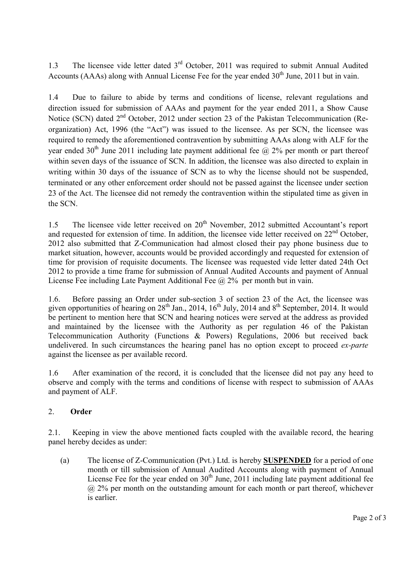1.3 The licensee vide letter dated 3<sup>rd</sup> October, 2011 was required to submit Annual Audited Accounts (AAAs) along with Annual License Fee for the year ended  $30<sup>th</sup>$  June, 2011 but in vain.

1.4 Due to failure to abide by terms and conditions of license, relevant regulations and direction issued for submission of AAAs and payment for the year ended 2011, a Show Cause Notice (SCN) dated 2<sup>nd</sup> October, 2012 under section 23 of the Pakistan Telecommunication (Reorganization) Act, 1996 (the "Act") was issued to the licensee. As per SCN, the licensee was required to remedy the aforementioned contravention by submitting AAAs along with ALF for the year ended 30<sup>th</sup> June 2011 including late payment additional fee  $\omega$ , 2% per month or part thereof within seven days of the issuance of SCN. In addition, the licensee was also directed to explain in writing within 30 days of the issuance of SCN as to why the license should not be suspended, terminated or any other enforcement order should not be passed against the licensee under section 23 of the Act. The licensee did not remedy the contravention within the stipulated time as given in the SCN.

1.5 The licensee vide letter received on  $20<sup>th</sup>$  November, 2012 submitted Accountant's report and requested for extension of time. In addition, the licensee vide letter received on  $22<sup>nd</sup>$  October. 2012 also submitted that Z-Communication had almost closed their pay phone business due to market situation, however, accounts would be provided accordingly and requested for extension of time for provision of requisite documents. The licensee was requested vide letter dated 24th Oct 2012 to provide a time frame for submission of Annual Audited Accounts and payment of Annual License Fee including Late Payment Additional Fee @ 2% per month but in vain.

1.6. Before passing an Order under sub-section 3 of section 23 of the Act, the licensee was given opportunities of hearing on  $28^{th}$  Jan.,  $2014$ ,  $16^{th}$  July,  $2014$  and  $8^{th}$  September, 2014. It would be pertinent to mention here that SCN and hearing notices were served at the address as provided and maintained by the licensee with the Authority as per regulation 46 of the Pakistan Telecommunication Authority (Functions & Powers) Regulations, 2006 but received back undelivered. In such circumstances the hearing panel has no option except to proceed *ex-parte* against the licensee as per available record.

1.6 After examination of the record, it is concluded that the licensee did not pay any heed to observe and comply with the terms and conditions of license with respect to submission of AAAs and payment of ALF.

### 2. **Order**

2.1. Keeping in view the above mentioned facts coupled with the available record, the hearing panel hereby decides as under:

(a) The license of Z-Communication (Pvt.) Ltd. is hereby **SUSPENDED** for a period of one month or till submission of Annual Audited Accounts along with payment of Annual License Fee for the year ended on  $30<sup>th</sup>$  June, 2011 including late payment additional fee  $(a)$  2% per month on the outstanding amount for each month or part thereof, whichever is earlier.